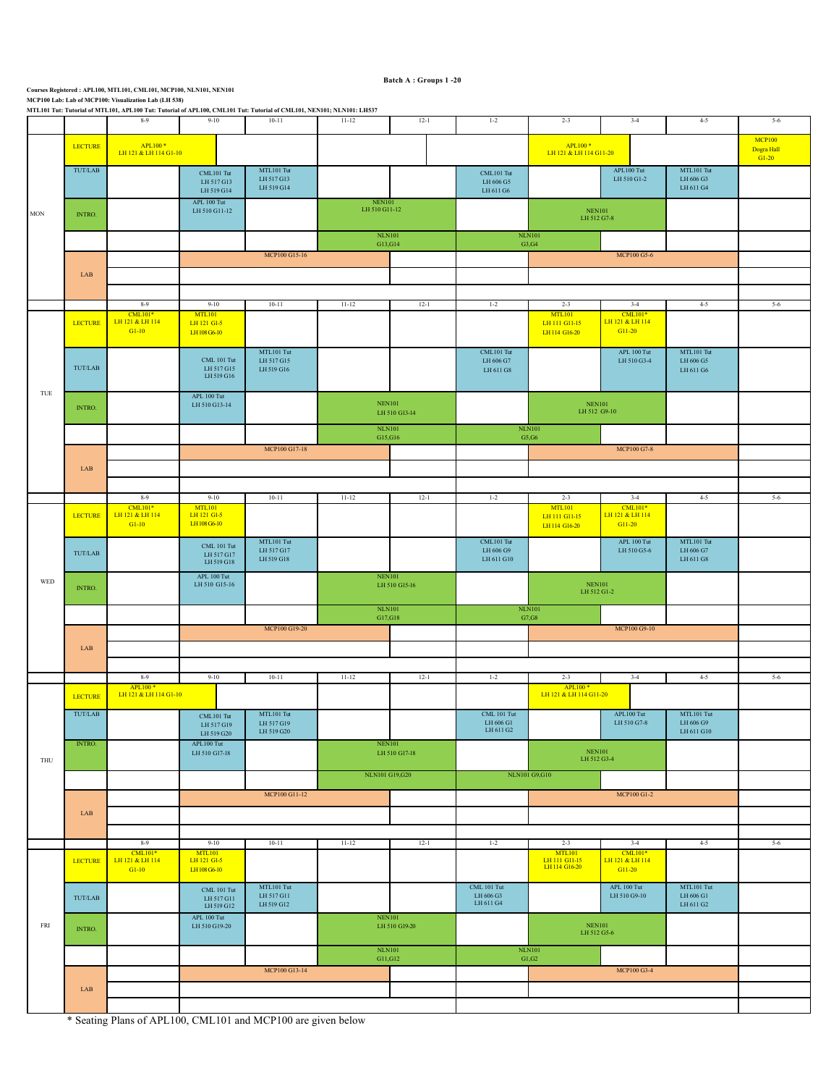|     |                                                 | $8-9$                                                                              | $9-10$                                         | $10 - 11$                              | $11 - 12$                                                                    | $12-1$                         | $1 - 2$                                                                                            | $2 - 3$                                                                                      | $3 - 4$                                                                          | $4 - 5$                                       | $5-6$   |
|-----|-------------------------------------------------|------------------------------------------------------------------------------------|------------------------------------------------|----------------------------------------|------------------------------------------------------------------------------|--------------------------------|----------------------------------------------------------------------------------------------------|----------------------------------------------------------------------------------------------|----------------------------------------------------------------------------------|-----------------------------------------------|---------|
| MON | <b>LECTURE</b>                                  | APL100 <sup>*</sup><br>LH 121 & LH 114 G1-10                                       |                                                |                                        |                                                                              |                                | $\begin{array}{r} \text{APL}100* \\ \text{LH}121 & \text{LH}114 \text{ G}11\text{-}20 \end{array}$ |                                                                                              | <b>MCP100</b><br>Dogra Hall<br>$G1-20$                                           |                                               |         |
|     | TUT/LAB                                         |                                                                                    | CML101 Tut<br>LH 517 G13<br>LH 519 G14         | MTL101 Tut<br>LH 517 G13<br>LH 519 G14 |                                                                              |                                | CML101 Tut<br>LH 606 G5<br>LH 611 G6                                                               |                                                                                              | APL100 Tut<br>LH 510 G1-2                                                        | MTL101 Tut<br>LH 606 G3<br>LH 611 G4          |         |
|     | INTRO.                                          |                                                                                    | APL 100 Tut<br>LH 510 G11-12                   |                                        | $\begin{array}{c} \text{NEN101} \\ \text{LH} 510 \text{ G11-12} \end{array}$ |                                |                                                                                                    | $\operatorname{NEN101}$<br>LH 512 G7-8                                                       |                                                                                  |                                               |         |
|     |                                                 |                                                                                    |                                                |                                        | G13, G14                                                                     | <b>NLN101</b>                  |                                                                                                    | NLN101<br>G3, G4                                                                             |                                                                                  |                                               |         |
|     |                                                 |                                                                                    |                                                | MCP100 G15-16                          |                                                                              |                                |                                                                                                    |                                                                                              | MCP100 G5-6                                                                      |                                               |         |
|     | LAB                                             |                                                                                    |                                                |                                        |                                                                              |                                |                                                                                                    |                                                                                              |                                                                                  |                                               |         |
|     |                                                 |                                                                                    |                                                |                                        |                                                                              |                                |                                                                                                    |                                                                                              |                                                                                  |                                               |         |
|     |                                                 | $8-9$<br>$CML101*$                                                                 | $9 - 10$<br>MTL101                             | $10 - 11$                              | $11 - 12$                                                                    | $12-1$                         | $1 - 2$                                                                                            | $2 - 3$<br><b>MTL101</b>                                                                     | $3-4$<br>$CML101*$                                                               | $4 - 5$                                       | $5-6$   |
|     | <b>LECTURE</b>                                  | LH 121 & LH 114<br>$G1-10$                                                         | LH 121 G1-5<br>LH 108 G6-10                    |                                        |                                                                              |                                |                                                                                                    | LH 111 G11-15<br>LH 114 G16-20                                                               | LH 121 & LH 114<br>G11-20                                                        |                                               |         |
|     | $\ensuremath{\mathsf{TUT}/\mathsf{LAB}}\xspace$ |                                                                                    | CML 101 Tut<br>LH 517 G15<br>LH 519 G16        | MTL101 Tut<br>LH 517 G15<br>LH 519 G16 |                                                                              |                                | CML101 Tut<br>LH 606 G7<br>LH 611 G8                                                               |                                                                                              | APL 100 Tut<br>LH 510 G3-4                                                       | MTL101 Tut<br>LH 606 G5<br>LH 611 G6          |         |
| TUE | INTRO.                                          |                                                                                    | APL 100 Tut<br>LH 510 G13-14                   |                                        |                                                                              | <b>NEN101</b><br>LH 510 G13-14 |                                                                                                    |                                                                                              | $\textcolor{blue}{\text{NEN}101}$<br>LH 512 G9-10                                |                                               |         |
|     |                                                 |                                                                                    |                                                |                                        | <b>NLN101</b><br>G15,G16                                                     |                                |                                                                                                    | <b>NLN101</b><br>G5, G6                                                                      |                                                                                  |                                               |         |
|     |                                                 |                                                                                    |                                                | MCP100 G17-18                          |                                                                              |                                |                                                                                                    |                                                                                              | MCP100 G7-8                                                                      |                                               |         |
|     | LAB                                             |                                                                                    |                                                |                                        |                                                                              |                                |                                                                                                    |                                                                                              |                                                                                  |                                               |         |
|     |                                                 |                                                                                    |                                                |                                        |                                                                              |                                |                                                                                                    |                                                                                              |                                                                                  |                                               |         |
|     |                                                 | $8-9$<br><b>CML101*</b>                                                            | $9 - 10$<br>MTL101                             | $10 - 11$                              | $11 - 12$                                                                    | $12-1$                         | $1 - 2$                                                                                            | $2 - 3$<br><b>MTL101</b>                                                                     | $3-4$<br>$\begin{array}{c} \text{CML101*} \\ \text{LH 121 & LH 114} \end{array}$ | $4 - 5$                                       | $5 - 6$ |
|     | <b>LECTURE</b>                                  | LH 121 & LH 114<br>$G1-10$                                                         | LH 121 G1-5<br>LH 108 G6-10                    | MTL101 Tut                             |                                                                              |                                | CML101 Tut                                                                                         | LH 111 G11-15<br>LH 114 G16-20                                                               | G11-20<br>APL 100 Tut                                                            | MTL101 Tut                                    |         |
|     | TUT/LAB                                         |                                                                                    | <b>CML 101 Tut</b><br>LH 517 G17<br>LH 519 G18 | LH 517 G17<br>LH 519 G18               |                                                                              |                                | LH 606 G9<br>$\rm LH\,611\,G10$                                                                    |                                                                                              | LH 510 G5-6                                                                      | LH 606 G7<br>LH 611 G8                        |         |
| WED | INTRO.                                          |                                                                                    | APL 100 Tut<br>LH 510 G15-16                   |                                        |                                                                              | <b>NEN101</b><br>LH 510 G15-16 |                                                                                                    | $\frac{\rm NEN101}{\rm LH\,512\,G1\text{-}2}$                                                |                                                                                  |                                               |         |
|     |                                                 |                                                                                    |                                                |                                        |                                                                              | <b>NLN101</b><br>G17,G18       |                                                                                                    | $\rm NLN101$<br>G7, G8                                                                       |                                                                                  |                                               |         |
|     |                                                 |                                                                                    |                                                | MCP100 G19-20                          |                                                                              |                                |                                                                                                    |                                                                                              | MCP100 G9-10                                                                     |                                               |         |
|     | LAB                                             |                                                                                    |                                                |                                        |                                                                              |                                |                                                                                                    |                                                                                              |                                                                                  |                                               |         |
|     |                                                 |                                                                                    |                                                |                                        |                                                                              |                                |                                                                                                    |                                                                                              |                                                                                  |                                               |         |
|     |                                                 | $8-9$<br>APL100 <sup>*</sup>                                                       | $9 - 10$                                       | $10 - 11$                              | $11 - 12$                                                                    | $12-1$                         | $1 - 2$                                                                                            | $2 - 3$<br>APL100 <sup>*</sup>                                                               | $3-4$                                                                            | $4 - 5$                                       | $5 - 6$ |
|     | <b>LECTURE</b>                                  | LH 121 & LH 114 G1-10                                                              |                                                |                                        |                                                                              |                                |                                                                                                    | LH 121 & LH 114 G11-20                                                                       |                                                                                  |                                               |         |
|     | TUT/LAB                                         |                                                                                    | CML101 Tut<br>LH 517 G19<br>LH 519 G20         | MTL101 Tut<br>LH 517 G19<br>LH 519 G20 |                                                                              |                                | <b>CML 101 Tut</b><br>LH 606 G1<br>LH 611 G2                                                       |                                                                                              | APL100 Tut<br>LH 510 G7-8                                                        | MTL101 Tut<br>LH 606 G9<br>$\rm LH\,611\,G10$ |         |
| THU | <b>INTRO.</b>                                   |                                                                                    | ${\sf APL100\;Tut}$<br>LH 510 G17-18           |                                        |                                                                              | <b>NEN101</b><br>LH 510 G17-18 |                                                                                                    | NEN101<br>LH 512 G3-4                                                                        |                                                                                  |                                               |         |
|     |                                                 |                                                                                    |                                                |                                        | NLN101 G19,G20                                                               |                                |                                                                                                    | NLN101 G9,G10                                                                                |                                                                                  |                                               |         |
|     |                                                 |                                                                                    |                                                | MCP100 G11-12                          |                                                                              |                                |                                                                                                    |                                                                                              | <b>MCP100 G1-2</b>                                                               |                                               |         |
|     | ${\rm LAB}$                                     |                                                                                    |                                                |                                        |                                                                              |                                |                                                                                                    |                                                                                              |                                                                                  |                                               |         |
|     |                                                 | $8-9$                                                                              | $9 - 10$                                       | $10 - 11$                              | $11 - 12$                                                                    | $12-1$                         | $1 - 2$                                                                                            | $2 - 3$                                                                                      | $3-4$                                                                            | $4-5$                                         | $5-6$   |
|     | <b>LECTURE</b>                                  | $\begin{array}{r} \text{CML101*} \\ \text{LH 121 & LH 114} \end{array}$<br>$G1-10$ | MTL101<br>LH 121 GI-5<br>LH 108 G6-10          |                                        |                                                                              |                                |                                                                                                    | $\begin{array}{r} \text{MTL101} \\ \text{LH 111 G11-15} \\ \text{LH 114 G16-20} \end{array}$ | $$\mathsf{CML}101*$$ LH 121 & LH 114<br>G11-20                                   |                                               |         |
|     | $\ensuremath{\mathsf{TUT}/\mathsf{LAB}}\xspace$ |                                                                                    | $\rm CML$ 101 Tut<br>LH 517 G11<br>LH 519 G12  | MTL101 Tut<br>LH 517 G11<br>LH 519 G12 |                                                                              |                                | CML 101 Tut<br>LH 606 G3<br>LH 611 G4                                                              |                                                                                              | APL 100 Tut<br>LH 510 G9-10                                                      | MTL101 Tut<br>LH 606 G1<br>LH 611 G2          |         |
| FRI | INTRO.                                          |                                                                                    | APL 100 Tut<br>LH 510 G19-20                   |                                        | <b>NEN101</b><br>LH 510 G19-20                                               |                                |                                                                                                    |                                                                                              | <b>NEN101</b><br>LH 512 G5-6                                                     |                                               |         |
|     |                                                 |                                                                                    |                                                |                                        |                                                                              | <b>NLN101</b>                  |                                                                                                    | NLN101                                                                                       |                                                                                  |                                               |         |
|     |                                                 |                                                                                    |                                                | MCP100 G13-14                          |                                                                              | G11, G12                       |                                                                                                    | G1, G2                                                                                       | MCP100 G3-4                                                                      |                                               |         |
|     | LAB                                             |                                                                                    |                                                |                                        |                                                                              |                                |                                                                                                    |                                                                                              |                                                                                  |                                               |         |
|     |                                                 |                                                                                    |                                                |                                        |                                                                              |                                |                                                                                                    |                                                                                              |                                                                                  |                                               |         |
|     |                                                 | * Seating Plans of APL100, CML101 and MCP100 are given below                       |                                                |                                        |                                                                              |                                |                                                                                                    |                                                                                              |                                                                                  |                                               |         |

Courses Registered : APL100, MTL101, CML101, MCP100, NLN101, NEN101<br>MCP100 Lab: Lab of MCP100: Visualization Lab (LH 538)<br>MTL101 Tut: Tutorial of MTL101, APL100 Tut: Tutorial of APL100, CML101 Tut: Tutorial of CML101, NEN1

**Batch A : Groups 1 -20**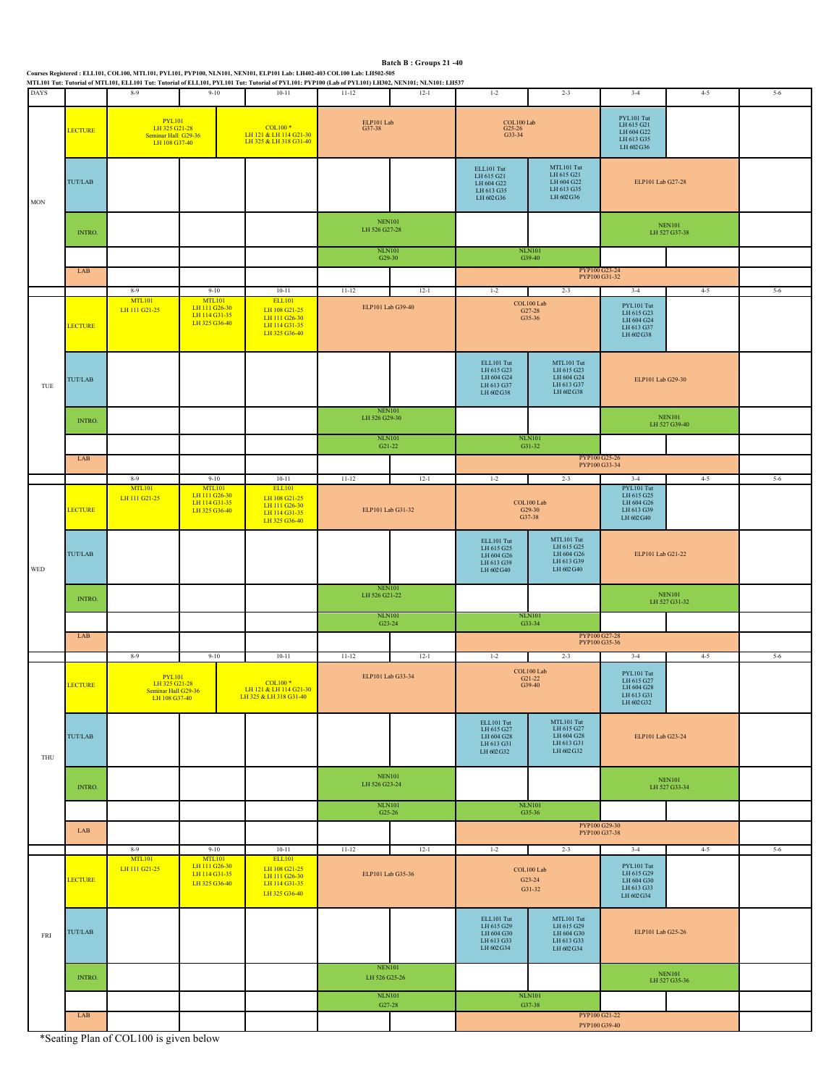|                             |                |                                                                        |                                                                  | Courses Registered : ELL101, COL100, MTL101, PYL101, PYP100, NLN101, NEN101, ELP101 Lab: LH402-403 COL100 Lab: LH502-505<br>MTL101 Tut: Tutorial of MTL101, ELL101 Tut: Tutorial of ELL101, PYL101 Tut: Tutorial of PYL101: PYP100 (Lab of PYL101) LH302, NEN101; NLN101: LH537 |                                                 | Batch B: Groups 21-40 |                                                                    |                                                                    |                                                                                         |                                |         |
|-----------------------------|----------------|------------------------------------------------------------------------|------------------------------------------------------------------|---------------------------------------------------------------------------------------------------------------------------------------------------------------------------------------------------------------------------------------------------------------------------------|-------------------------------------------------|-----------------------|--------------------------------------------------------------------|--------------------------------------------------------------------|-----------------------------------------------------------------------------------------|--------------------------------|---------|
| <b>DAYS</b>                 |                | $8-9$                                                                  | $9 - 10$                                                         | $10 - 11$                                                                                                                                                                                                                                                                       | $11 - 12$                                       | $12 - 1$              | $1-2$                                                              | $2 - 3$                                                            | $3-4$                                                                                   | $4-5$                          | $5-6$   |
| $_{\rm MON}$                | <b>LECTURE</b> | PYL101<br>LH 325 G21-28<br>Seminar Hall G29-36<br>LH 108 G37-40        |                                                                  | <b>COL100*</b><br>LH 121 & LH 114 G21-30<br>LH 325 & LH 318 G31-40                                                                                                                                                                                                              | ELP101 Lab<br>G37-38                            |                       | $\underset{\text{G25-26}}{\text{COL100}}$ Lab<br>G33-34            |                                                                    | $\textbf{PYL}101\;\textbf{Tut}$<br>LH 615 G21<br>LH 604 G22<br>LH 613 G35<br>LH 602 G36 |                                |         |
|                             | TUT/LAB        |                                                                        |                                                                  |                                                                                                                                                                                                                                                                                 |                                                 |                       | ELL101 Tut<br>LH 615 G21<br>LH 604 G22<br>LH 613 G35<br>LH 602 G36 | MTL101 Tut<br>LH 615 G21<br>LH 604 G22<br>LH 613 G35<br>LH 602 G36 | ELP101 Lab G27-28                                                                       |                                |         |
|                             | INTRO.         |                                                                        |                                                                  |                                                                                                                                                                                                                                                                                 | <b>NEN101</b><br>LH 526 G27-28                  |                       |                                                                    |                                                                    |                                                                                         | <b>NEN101</b><br>LH 527 G37-38 |         |
|                             | LAB            |                                                                        |                                                                  |                                                                                                                                                                                                                                                                                 | <b>NLN101</b><br>G29-30                         |                       | <b>NLN101</b><br>G39-40<br>PYP100 G23-24<br>PYP100 G31-32          |                                                                    |                                                                                         |                                |         |
|                             |                | $8-9$                                                                  | $9 - 10$                                                         | $10 - 11$                                                                                                                                                                                                                                                                       | $11 - 12$                                       | $12-1$                | $1-2$                                                              | $2 - 3$                                                            | $3-4$                                                                                   | $4 - 5$                        | $5-6$   |
|                             | <b>LECTURE</b> | <b>MTL101</b><br>LH 111 G21-25                                         | <b>MTL101</b><br>LH 111 G26-30<br>LH 114 G31-35<br>LH 325 G36-40 | <b>ELL101</b><br>LH 108 G21-25<br>LH 111 G26-30<br>LH 114 G31-35<br>LH 325 G36-40                                                                                                                                                                                               | ELP101 Lab G39-40                               |                       |                                                                    | COL100 Lab<br>$\textrm{G27-28}\xspace$ G35-36                      | PYL101 Tut<br>LH 615 G23<br>LH 604 G24<br>LH 613 G37<br>LH 602 G38                      |                                |         |
| $\ensuremath{\mathsf{TUE}}$ | TUT/LAB        |                                                                        |                                                                  |                                                                                                                                                                                                                                                                                 |                                                 |                       | ELL101 Tut<br>LH 615 G23<br>LH 604 G24<br>LH 613 G37<br>LH 602 G38 | MTL101 Tut<br>LH 615 G23<br>LH 604 G24<br>LH 613 G37<br>LH 602 G38 | ELP101 Lab G29-30                                                                       |                                |         |
|                             | INTRO.         |                                                                        |                                                                  |                                                                                                                                                                                                                                                                                 | <b>NEN101</b><br>LH 526 G29-30                  |                       |                                                                    |                                                                    |                                                                                         | <b>NEN101</b><br>LH 527 G39-40 |         |
|                             |                |                                                                        |                                                                  |                                                                                                                                                                                                                                                                                 | <b>NLN101</b><br>G21-22                         |                       | <b>NLN101</b><br>G31-32                                            |                                                                    |                                                                                         |                                |         |
|                             | LAB            |                                                                        |                                                                  |                                                                                                                                                                                                                                                                                 |                                                 |                       |                                                                    |                                                                    | PYP100 G25-26<br>PYP100 G33-34                                                          |                                |         |
|                             |                | $9 - 10$<br>$8-9$<br><b>MTL101</b><br><b>MTL101</b><br>LH 111 G26-30   |                                                                  | $10 - 11$<br><b>ELL101</b><br>LH 108 G21-25                                                                                                                                                                                                                                     | $11 - 12$<br>$12 - 1$                           |                       | $3-4$<br>$1 - 2$<br>$2 - 3$<br>PYL101 Tut<br>LH 615 G25            |                                                                    | $4 - 5$                                                                                 | $5-6$                          |         |
|                             | <b>LECTURE</b> |                                                                        | LH 111 G21-25<br>LH 114 G31-35<br>LH 325 G36-40                  |                                                                                                                                                                                                                                                                                 | ELP101 Lab G31-32                               |                       |                                                                    | COL100 Lab<br>G29-30<br>G37-38                                     | LH 604 G26<br>LH 613 G39<br>LH 602 G40                                                  |                                |         |
| WED                         | TUT/LAB        |                                                                        |                                                                  |                                                                                                                                                                                                                                                                                 |                                                 |                       | ELL101 Tut<br>LH 615 G25<br>LH 604 G26<br>LH 613 G39<br>LH 602 G40 | MTL101 Tut<br>LH 615 G25<br>LH 604 G26<br>LH 613 G39<br>LH 602 G40 | ELP101 Lab G21-22                                                                       |                                |         |
|                             | INTRO.         |                                                                        |                                                                  |                                                                                                                                                                                                                                                                                 | <b>NEN101</b><br>LH 526 G21-22<br><b>NLN101</b> |                       |                                                                    |                                                                    |                                                                                         | NEN101<br>LH 527 G31-32        |         |
|                             |                |                                                                        |                                                                  | G23-24                                                                                                                                                                                                                                                                          |                                                 |                       | <b>NLN101</b><br>G33-34                                            |                                                                    |                                                                                         |                                |         |
|                             | LAB            |                                                                        |                                                                  |                                                                                                                                                                                                                                                                                 |                                                 |                       |                                                                    |                                                                    | PYP100 G27-28<br>PYP100 G35-36                                                          |                                |         |
|                             |                | $8 - 9$                                                                | $9 - 10$                                                         | $10 - 11$                                                                                                                                                                                                                                                                       | $11 - 12$                                       | $12 - 1$              | $1 - 2$                                                            | $2 - 3$                                                            | $3 - 4$                                                                                 | $4 - 5$                        | $5 - 6$ |
|                             | <b>LECTURE</b> | <b>PYL101</b><br>LH 325 G21-28<br>Seminar Hall G29-36<br>LH 108 G37-40 |                                                                  | <b>COL100*</b><br>LH 121 & LH 114 G21-30<br>LH 325 & LH 318 G31-40                                                                                                                                                                                                              | ELP101 Lab G33-34                               |                       |                                                                    | COL100 Lab<br>G21-22<br>G39-40                                     | PYL101 Tut<br>LH 615 G27<br>LH 604 G28<br>LH 613 G31<br>LH 602 G32                      |                                |         |
| THU                         | TUT/LAB        |                                                                        |                                                                  |                                                                                                                                                                                                                                                                                 |                                                 |                       | ELL101 Tut<br>LH 615 G27<br>LH 604 G28<br>LH 613 G31<br>LH 602 G32 | MTL101 Tut<br>LH 615 G27<br>LH 604 G28<br>LH 613 G31<br>LH 602 G32 | ELP101 Lab G23-24                                                                       |                                |         |
|                             | INTRO.         |                                                                        |                                                                  |                                                                                                                                                                                                                                                                                 | <b>NEN101</b><br>LH 526 G23-24                  |                       |                                                                    |                                                                    |                                                                                         | NEN101<br>LH 527 G33-34        |         |
|                             |                |                                                                        |                                                                  |                                                                                                                                                                                                                                                                                 | <b>NLN101</b><br>G25-26                         |                       |                                                                    | $\rm NLN101$<br>G35-36                                             |                                                                                         |                                |         |
|                             | LAB            |                                                                        |                                                                  |                                                                                                                                                                                                                                                                                 |                                                 |                       | PYP100 G29-30<br>PYP100 G37-38                                     |                                                                    |                                                                                         |                                |         |
|                             |                | $8-9$                                                                  | $9 - 10$                                                         | $10 - 11$                                                                                                                                                                                                                                                                       | $11 - 12$                                       | $12-1$                | $1 - 2$                                                            | $2 - 3$                                                            | $3 - 4$                                                                                 | $4 - 5$                        | $5 - 6$ |
| FRI                         | <b>LECTURE</b> | <b>MTL101</b><br>LH 111 G21-25                                         | <b>MTL101</b><br>LH 111 G26-30<br>LH 114 G31-35<br>LH 325 G36-40 | <b>ELL101</b><br>LH 108 G21-25<br>LH 111 G26-30<br>LH 114 G31-35<br>LH 325 G36-40                                                                                                                                                                                               | ELP101 Lab G35-36                               |                       |                                                                    | COL100 Lab<br>G23-24<br>G31-32                                     | PYL101 Tut<br>LH 615 G29<br>LH 604 G30<br>LH 613 G33<br>LH 602 G34                      |                                |         |
|                             | TUT/LAB        |                                                                        |                                                                  |                                                                                                                                                                                                                                                                                 |                                                 |                       | ELL101 Tut<br>LH 615 G29<br>LH 604 G30<br>LH 613 G33<br>LH 602 G34 | MTL101 Tut<br>LH 615 G29<br>LH 604 G30<br>LH 613 G33<br>LH 602 G34 | ELP101 Lab G25-26                                                                       |                                |         |
|                             | INTRO.         |                                                                        |                                                                  |                                                                                                                                                                                                                                                                                 | <b>NEN101</b><br>LH 526 G25-26                  |                       |                                                                    |                                                                    |                                                                                         | <b>NEN101</b><br>LH 527 G35-36 |         |
|                             |                |                                                                        |                                                                  |                                                                                                                                                                                                                                                                                 | <b>NLN101</b><br>G27-28                         |                       |                                                                    | <b>NLN101</b><br>G37-38                                            |                                                                                         |                                |         |
|                             | LAB            |                                                                        |                                                                  |                                                                                                                                                                                                                                                                                 |                                                 |                       |                                                                    |                                                                    | PYP100 G21-22<br>PYP100 G39-40                                                          |                                |         |
|                             |                |                                                                        |                                                                  |                                                                                                                                                                                                                                                                                 |                                                 |                       |                                                                    |                                                                    |                                                                                         |                                |         |

\*Seating Plan of COL100 is given below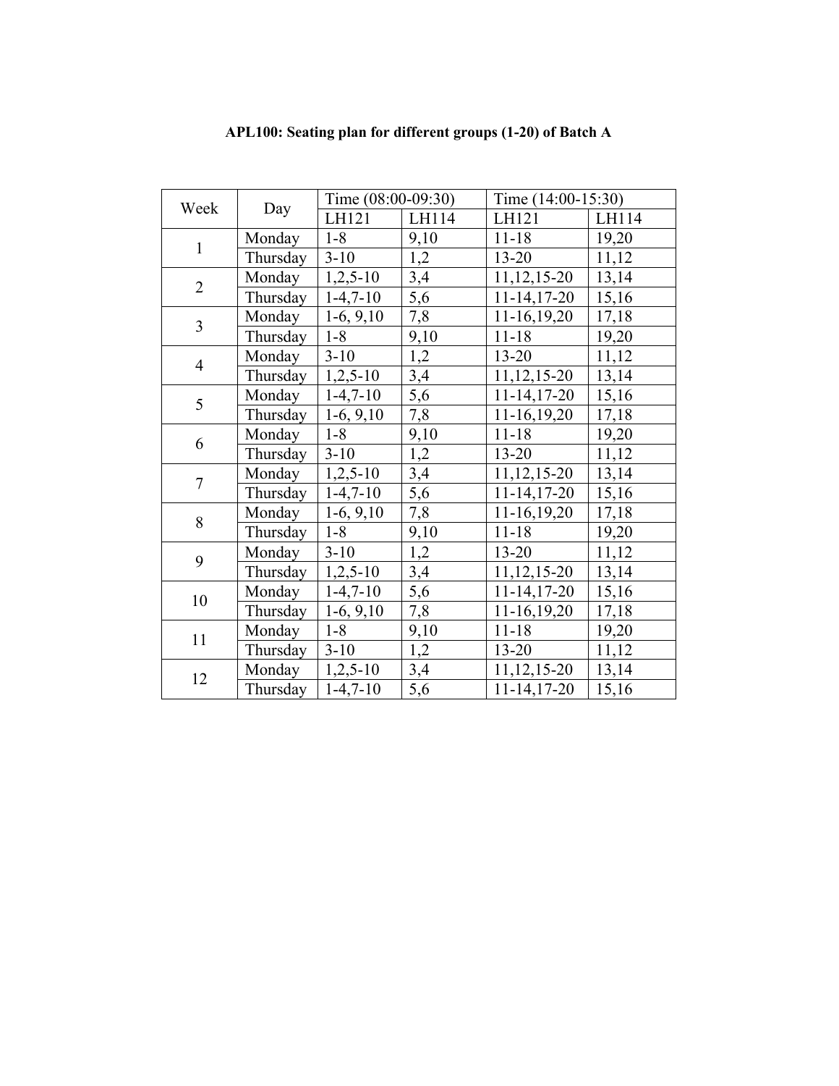|                |          | Time (08:00-09:30) |       | Time (14:00-15:30) |       |  |
|----------------|----------|--------------------|-------|--------------------|-------|--|
| Week           | Day      | LH121              | LH114 | LH121              | LH114 |  |
| $\mathbf{1}$   | Monday   | $1 - 8$            | 9,10  | $11 - 18$          | 19,20 |  |
|                | Thursday | $3-10$             | 1,2   | $13 - 20$          | 11,12 |  |
| $\overline{2}$ | Monday   | $1,2,5-10$         | 3,4   | $11, 12, 15 - 20$  | 13,14 |  |
|                | Thursday | $1-4,7-10$         | 5,6   | $11-14, 17-20$     | 15,16 |  |
| $\overline{3}$ | Monday   | $1-6, 9,10$        | 7,8   | $11-16,19,20$      | 17,18 |  |
|                | Thursday | $1 - 8$            | 9,10  | $11 - 18$          | 19,20 |  |
| $\overline{4}$ | Monday   | $3 - 10$           | 1,2   | $13 - 20$          | 11,12 |  |
|                | Thursday | $1,2,5-10$         | 3,4   | $11, 12, 15 - 20$  | 13,14 |  |
| 5              | Monday   | $1-4,7-10$         | 5,6   | $11-14, 17-20$     | 15,16 |  |
|                | Thursday | $1-6, 9,10$        | 7,8   | $11-16,19,20$      | 17,18 |  |
| 6              | Monday   | $1 - 8$            | 9,10  | $11 - 18$          | 19,20 |  |
|                | Thursday | $3-10$             | 1,2   | $13 - 20$          | 11,12 |  |
| $\tau$         | Monday   | $1,2,5-10$         | 3,4   | $11, 12, 15 - 20$  | 13,14 |  |
|                | Thursday | $1-4,7-10$         | 5,6   | $11-14, 17-20$     | 15,16 |  |
| 8              | Monday   | $1-6, 9, 10$       | 7,8   | $11-16,19,20$      | 17,18 |  |
|                | Thursday | $1-8$              | 9,10  | $11 - 18$          | 19,20 |  |
| 9              | Monday   | $3-10$             | 1,2   | $13 - 20$          | 11,12 |  |
|                | Thursday | $1,2,5-10$         | 3,4   | $11, 12, 15 - 20$  | 13,14 |  |
| 10             | Monday   | $1-4,7-10$         | 5,6   | $11 - 14, 17 - 20$ | 15,16 |  |
|                | Thursday | $1-6, 9,10$        | 7,8   | $11-16,19,20$      | 17,18 |  |
| 11             | Monday   | $1 - 8$            | 9,10  | $11 - 18$          | 19,20 |  |
|                | Thursday | $3-10$             | 1,2   | $13 - 20$          | 11,12 |  |
| 12             | Monday   | $1,2,5-10$         | 3,4   | $11, 12, 15 - 20$  | 13,14 |  |
|                | Thursday | $1-4,7-10$         | 5,6   | $11 - 14, 17 - 20$ | 15,16 |  |

## **APL100: Seating plan for different groups (1-20) of Batch A**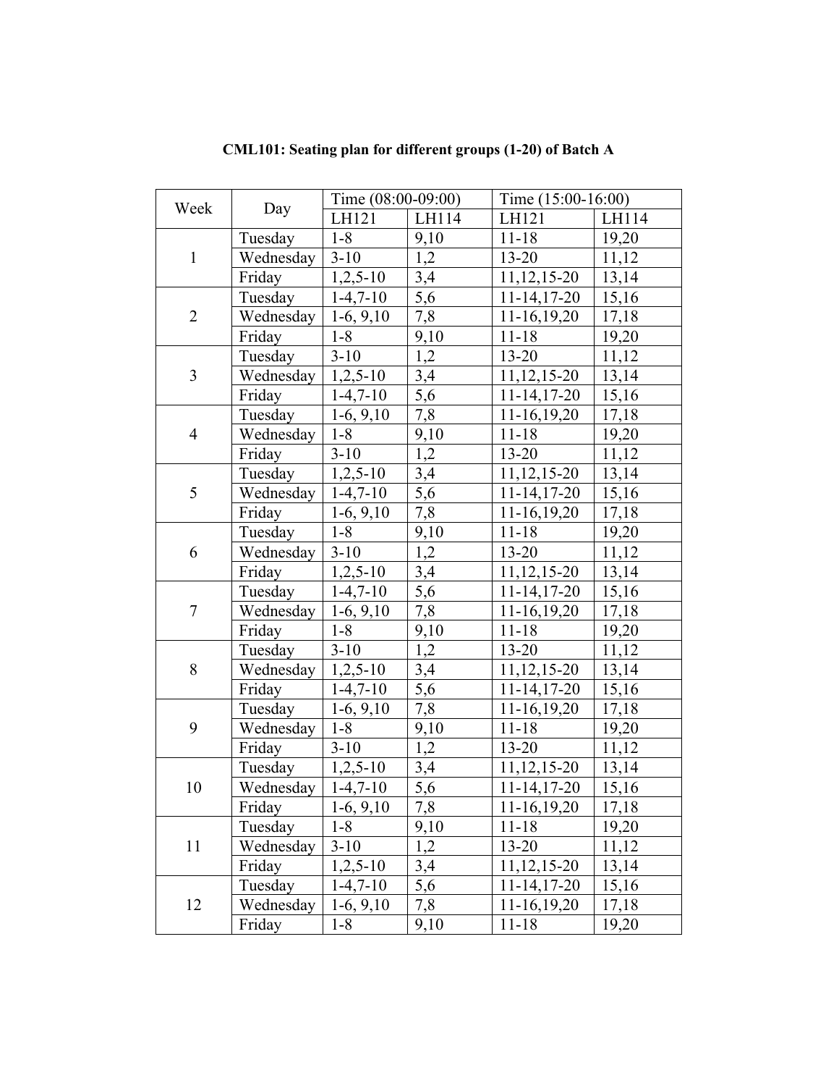|                |                        | Time (08:00-09:00) |             | Time (15:00-16:00) |       |  |
|----------------|------------------------|--------------------|-------------|--------------------|-------|--|
| Week           | Day                    | LH121              | LH114       | LH121              | LH114 |  |
|                | Tuesday                | $1 - 8$            | 9,10        | $11 - 18$          | 19,20 |  |
| $\mathbf{1}$   | Wednesday              | $3-10$             | 1,2         | $13 - 20$          | 11,12 |  |
|                | Friday                 | $1,2,5-10$         | 3,4         | 11, 12, 15-20      | 13,14 |  |
|                | Tuesday                | $1-4,7-10$         | 5,6         | $11 - 14, 17 - 20$ | 15,16 |  |
| $\overline{2}$ | Wednesday              | $1-6, 9, 10$       | 7,8         | $11-16,19,20$      | 17,18 |  |
|                | Friday                 | $1 - 8$            | <u>9,10</u> | $11 - 18$          | 19,20 |  |
|                | Tuesday                | $3 - 10$           | 1,2         | $13 - 20$          | 11,12 |  |
| $\overline{3}$ | Wednesday              | $1,2,5-10$         | 3,4         | 11, 12, 15-20      | 13,14 |  |
|                | Friday                 | $1-4,7-10$         | 5,6         | $11-14, 17-20$     | 15,16 |  |
|                | Tuesday                | $1-6, 9, 10$       | 7,8         | $11-16,19,20$      | 17,18 |  |
| $\overline{4}$ | Wednesday              | $1 - 8$            | 9,10        | $11 - 18$          | 19,20 |  |
|                | Friday                 | $3-10$             | 1,2         | $13 - 20$          | 11,12 |  |
|                | Tuesday                | $1,2,5-10$         | 3,4         | 11, 12, 15-20      | 13,14 |  |
| 5              | Wednesday   $1-4,7-10$ |                    | 5,6         | $11 - 14, 17 - 20$ | 15,16 |  |
|                | Friday                 | $1-6, 9, 10$       | 7,8         | $11-16,19,20$      | 17,18 |  |
|                | Tuesday                | $1 - 8$            | 9,10        | $11 - 18$          | 19,20 |  |
| 6              | Wednesday              | $3-10$             | 1,2         | $13 - 20$          | 11,12 |  |
|                | Friday                 | $1,2,5-10$         | 3,4         | 11, 12, 15-20      | 13,14 |  |
|                | Tuesday                | $1-4,7-10$         | 5,6         | $11 - 14, 17 - 20$ | 15,16 |  |
| $\tau$         | Wednesday              | $1-6, 9, 10$       | 7,8         | $11-16,19,20$      | 17,18 |  |
|                | Friday                 | $1 - 8$            | 9,10        | $11 - 18$          | 19,20 |  |
|                | Tuesday                | $3-10$             | 1,2         | $13 - 20$          | 11,12 |  |
| 8              | Wednesday              | $1,2,5-10$         | 3,4         | 11, 12, 15-20      | 13,14 |  |
|                | Friday                 | $1-4,7-10$         | 5,6         | $11 - 14, 17 - 20$ | 15,16 |  |
|                | Tuesday                | $1-6, 9, 10$       | 7,8         | $11-16,19,20$      | 17,18 |  |
| 9              | Wednesday              | $1 - 8$            | 9,10        | $11 - 18$          | 19,20 |  |
|                | Friday                 | $3-10$             | 1,2         | 13-20              | 11,12 |  |
|                | Tuesday                | $1,2,5-10$         | 3,4         | 11, 12, 15-20      | 13,14 |  |
| 10             | Wednesday              | $1-4,7-10$         | 5,6         | $11-14, 17-20$     | 15,16 |  |
|                | Friday                 | $1-6, 9, 10$       | 7,8         | 11-16,19,20        | 17,18 |  |
|                | Tuesday                | $1 - 8$            | 9,10        | $11 - 18$          | 19,20 |  |
| 11             | Wednesday              | $3-10$             | 1,2         | $13 - 20$          | 11,12 |  |
|                | Friday                 | $1,2,5-10$         | 3,4         | 11, 12, 15 - 20    | 13,14 |  |
|                | Tuesday                | $1-4,7-10$         | 5,6         | $11 - 14, 17 - 20$ | 15,16 |  |
| 12             | Wednesday              | $1-6, 9, 10$       | 7,8         | $11-16,19,20$      | 17,18 |  |
|                | Friday                 | $1 - 8$            | 9,10        | $11 - 18$          | 19,20 |  |

**CML101: Seating plan for different groups (1-20) of Batch A**